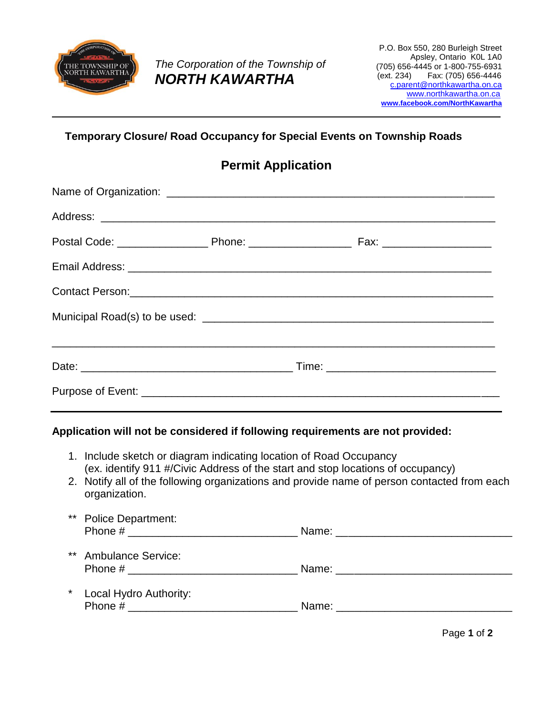

*The Corporation of the Township of NORTH KAWARTHA*

## **Temporary Closure/ Road Occupancy for Special Events on Township Roads**

## **Permit Application**

| Contact Person: 2008 and 2008 and 2008 and 2008 and 2008 and 2008 and 2008 and 2008 and 2008 and 2008 and 2008 |  |  |  |
|----------------------------------------------------------------------------------------------------------------|--|--|--|
|                                                                                                                |  |  |  |
|                                                                                                                |  |  |  |
|                                                                                                                |  |  |  |
|                                                                                                                |  |  |  |

## **Application will not be considered if following requirements are not provided:**

- 1. Include sketch or diagram indicating location of Road Occupancy (ex. identify 911 #/Civic Address of the start and stop locations of occupancy)
- 2. Notify all of the following organizations and provide name of person contacted from each organization.
- \*\* Police Department: Phone # \_\_\_\_\_\_\_\_\_\_\_\_\_\_\_\_\_\_\_\_\_\_\_\_\_\_\_\_ Name: \_\_\_\_\_\_\_\_\_\_\_\_\_\_\_\_\_\_\_\_\_\_\_\_\_\_\_\_\_
- \*\* Ambulance Service: Phone # \_\_\_\_\_\_\_\_\_\_\_\_\_\_\_\_\_\_\_\_\_\_\_\_\_\_\_\_ Name: \_\_\_\_\_\_\_\_\_\_\_\_\_\_\_\_\_\_\_\_\_\_\_\_\_\_\_\_\_
- \* Local Hydro Authority: Phone # \_\_\_\_\_\_\_\_\_\_\_\_\_\_\_\_\_\_\_\_\_\_\_\_\_\_\_\_ Name: \_\_\_\_\_\_\_\_\_\_\_\_\_\_\_\_\_\_\_\_\_\_\_\_\_\_\_\_\_

Page **1** of **2**